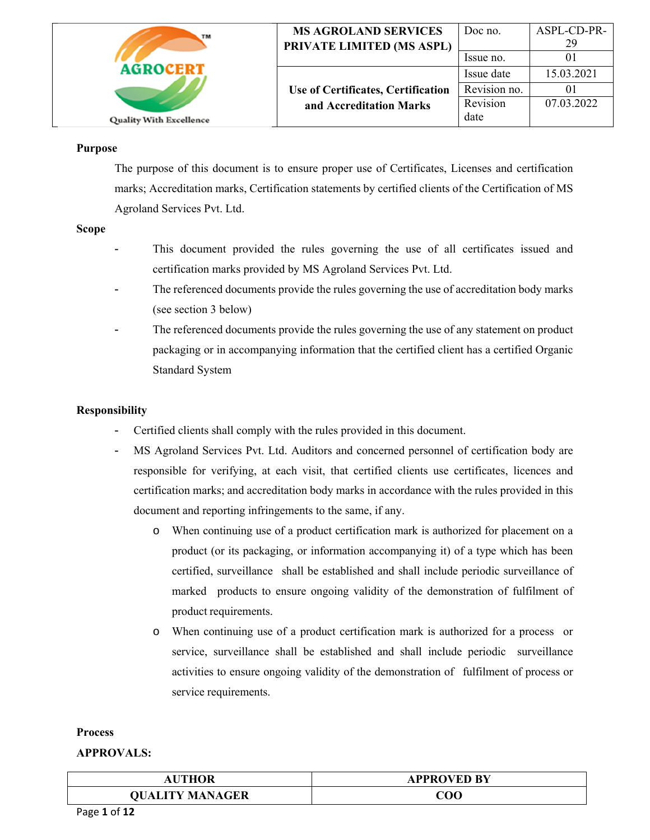| TM                             | <b>MS AGROLAND SERVICES</b><br>PRIVATE LIMITED (MS ASPL) | Doc no.<br>Issue no. | ASPL-CD-PR-<br>29 |
|--------------------------------|----------------------------------------------------------|----------------------|-------------------|
| <b>AGROCERT</b>                |                                                          | Issue date           | 15.03.2021        |
|                                | Use of Certificates, Certification                       | Revision no.         |                   |
|                                | and Accreditation Marks                                  | Revision             | 07.03.2022        |
| <b>Quality With Excellence</b> |                                                          | date                 |                   |

#### **Purpose**

 The purpose of this document is to ensure proper use of Certificates, Licenses and certification marks; Accreditation marks, Certification statements by certified clients of the Certification of MS Agroland Services Pvt. Ltd.

#### **Scope**

- This document provided the rules governing the use of all certificates issued and certification marks provided by MS Agroland Services Pvt. Ltd.
- The referenced documents provide the rules governing the use of accreditation body marks (see section 3 below)
- The referenced documents provide the rules governing the use of any statement on product packaging or in accompanying information that the certified client has a certified Organic Standard System

### **Responsibility**

- Certified clients shall comply with the rules provided in this document.
- MS Agroland Services Pvt. Ltd. Auditors and concerned personnel of certification body are responsible for verifying, at each visit, that certified clients use certificates, licences and certification marks; and accreditation body marks in accordance with the rules provided in this document and reporting infringements to the same, if any.
	- o When continuing use of a product certification mark is authorized for placement on a product (or its packaging, or information accompanying it) of a type which has been certified, surveillance shall be established and shall include periodic surveillance of marked products to ensure ongoing validity of the demonstration of fulfilment of product requirements.
	- o When continuing use of a product certification mark is authorized for a process or service, surveillance shall be established and shall include periodic surveillance activities to ensure ongoing validity of the demonstration of fulfilment of process or service requirements.

#### **Process**

| AUTHOR                 | <b>APPROVED BY</b> |
|------------------------|--------------------|
| <b>QUALITY MANAGER</b> | COO                |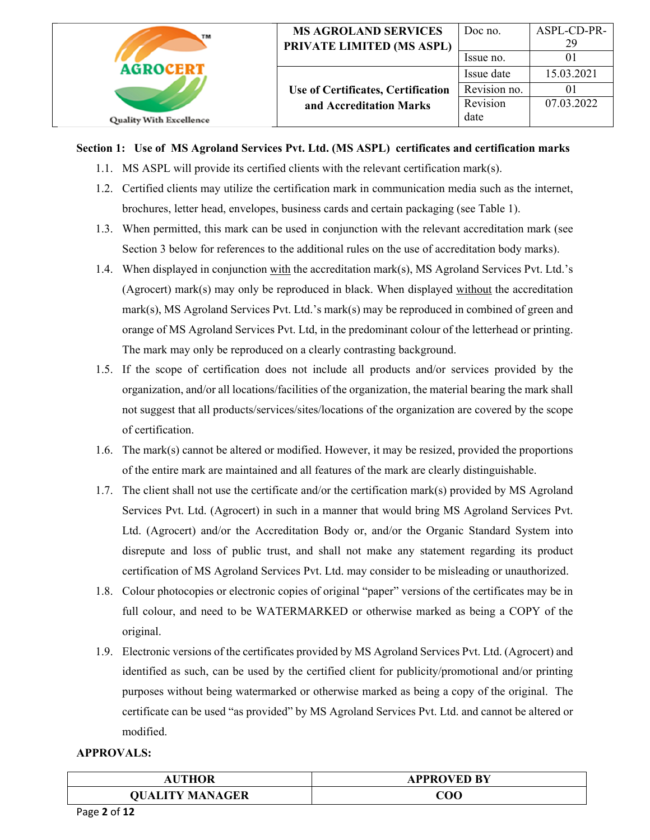| TM                             | <b>MS AGROLAND SERVICES</b><br>PRIVATE LIMITED (MS ASPL) | Doc no.      | ASPL-CD-PR-<br>29 |
|--------------------------------|----------------------------------------------------------|--------------|-------------------|
|                                |                                                          | Issue no.    |                   |
| <b>AGROCERT</b>                |                                                          | Issue date   | 15.03.2021        |
|                                | Use of Certificates, Certification                       | Revision no. |                   |
|                                | and Accreditation Marks                                  | Revision     | 07.03.2022        |
| <b>Quality With Excellence</b> |                                                          | date         |                   |

## **Section 1: Use of MS Agroland Services Pvt. Ltd. (MS ASPL) certificates and certification marks**

- 1.1. MS ASPL will provide its certified clients with the relevant certification mark(s).
- 1.2. Certified clients may utilize the certification mark in communication media such as the internet, brochures, letter head, envelopes, business cards and certain packaging (see Table 1).
- 1.3. When permitted, this mark can be used in conjunction with the relevant accreditation mark (see Section 3 below for references to the additional rules on the use of accreditation body marks).
- 1.4. When displayed in conjunction with the accreditation mark(s), MS Agroland Services Pvt. Ltd.'s (Agrocert) mark(s) may only be reproduced in black. When displayed without the accreditation mark(s), MS Agroland Services Pvt. Ltd.'s mark(s) may be reproduced in combined of green and orange of MS Agroland Services Pvt. Ltd, in the predominant colour of the letterhead or printing. The mark may only be reproduced on a clearly contrasting background.
- 1.5. If the scope of certification does not include all products and/or services provided by the organization, and/or all locations/facilities of the organization, the material bearing the mark shall not suggest that all products/services/sites/locations of the organization are covered by the scope of certification.
- 1.6. The mark(s) cannot be altered or modified. However, it may be resized, provided the proportions of the entire mark are maintained and all features of the mark are clearly distinguishable.
- 1.7. The client shall not use the certificate and/or the certification mark(s) provided by MS Agroland Services Pvt. Ltd. (Agrocert) in such in a manner that would bring MS Agroland Services Pvt. Ltd. (Agrocert) and/or the Accreditation Body or, and/or the Organic Standard System into disrepute and loss of public trust, and shall not make any statement regarding its product certification of MS Agroland Services Pvt. Ltd. may consider to be misleading or unauthorized.
- 1.8. Colour photocopies or electronic copies of original "paper" versions of the certificates may be in full colour, and need to be WATERMARKED or otherwise marked as being a COPY of the original.
- 1.9. Electronic versions of the certificates provided by MS Agroland Services Pvt. Ltd. (Agrocert) and identified as such, can be used by the certified client for publicity/promotional and/or printing purposes without being watermarked or otherwise marked as being a copy of the original. The certificate can be used "as provided" by MS Agroland Services Pvt. Ltd. and cannot be altered or modified.

| UTHOR                  | <b>APPROVED BY</b> |
|------------------------|--------------------|
| <b>QUALITY MANAGER</b> | ${\rm COO}$        |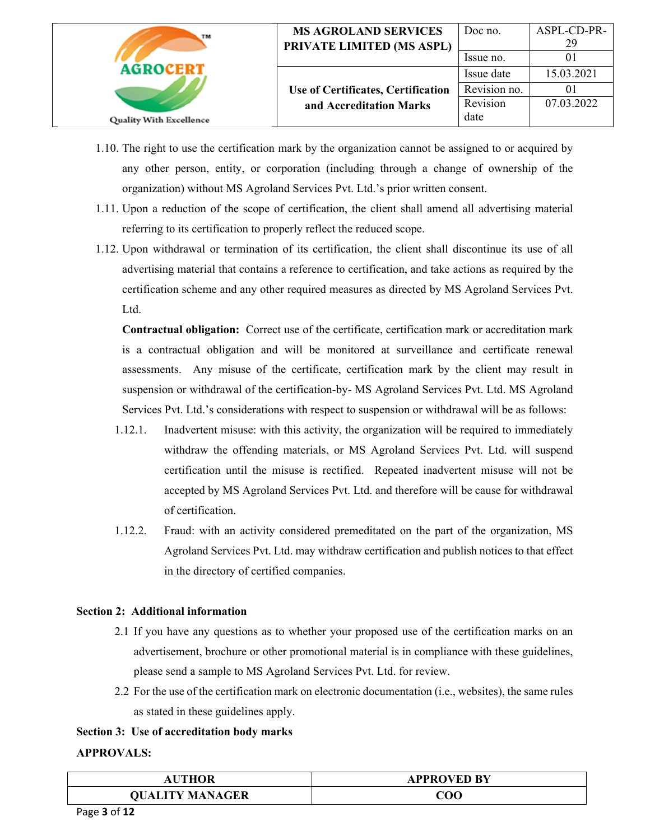| TМ                             | <b>MS AGROLAND SERVICES</b><br>PRIVATE LIMITED (MS ASPL) | Doc no.      | ASPL-CD-PR-<br>29 |
|--------------------------------|----------------------------------------------------------|--------------|-------------------|
|                                |                                                          | Issue no.    |                   |
| <b>AGROCERT</b>                |                                                          | Issue date   | 15.03.2021        |
|                                | Use of Certificates, Certification                       | Revision no. |                   |
|                                | and Accreditation Marks                                  | Revision     | 07.03.2022        |
| <b>Quality With Excellence</b> |                                                          | date         |                   |

- 1.10. The right to use the certification mark by the organization cannot be assigned to or acquired by any other person, entity, or corporation (including through a change of ownership of the organization) without MS Agroland Services Pvt. Ltd.'s prior written consent.
- 1.11. Upon a reduction of the scope of certification, the client shall amend all advertising material referring to its certification to properly reflect the reduced scope.
- 1.12. Upon withdrawal or termination of its certification, the client shall discontinue its use of all advertising material that contains a reference to certification, and take actions as required by the certification scheme and any other required measures as directed by MS Agroland Services Pvt. Ltd.

**Contractual obligation:** Correct use of the certificate, certification mark or accreditation mark is a contractual obligation and will be monitored at surveillance and certificate renewal assessments. Any misuse of the certificate, certification mark by the client may result in suspension or withdrawal of the certification-by- MS Agroland Services Pvt. Ltd. MS Agroland Services Pvt. Ltd.'s considerations with respect to suspension or withdrawal will be as follows:

- 1.12.1. Inadvertent misuse: with this activity, the organization will be required to immediately withdraw the offending materials, or MS Agroland Services Pvt. Ltd. will suspend certification until the misuse is rectified. Repeated inadvertent misuse will not be accepted by MS Agroland Services Pvt. Ltd. and therefore will be cause for withdrawal of certification.
- 1.12.2. Fraud: with an activity considered premeditated on the part of the organization, MS Agroland Services Pvt. Ltd. may withdraw certification and publish notices to that effect in the directory of certified companies.

### **Section 2: Additional information**

- 2.1 If you have any questions as to whether your proposed use of the certification marks on an advertisement, brochure or other promotional material is in compliance with these guidelines, please send a sample to MS Agroland Services Pvt. Ltd. for review.
- 2.2 For the use of the certification mark on electronic documentation (i.e., websites), the same rules as stated in these guidelines apply.

### **Section 3: Use of accreditation body marks**

| UTHOR                  | <b>APPROVED BY</b> |
|------------------------|--------------------|
| <b>QUALITY MANAGER</b> | ${\rm COO}$        |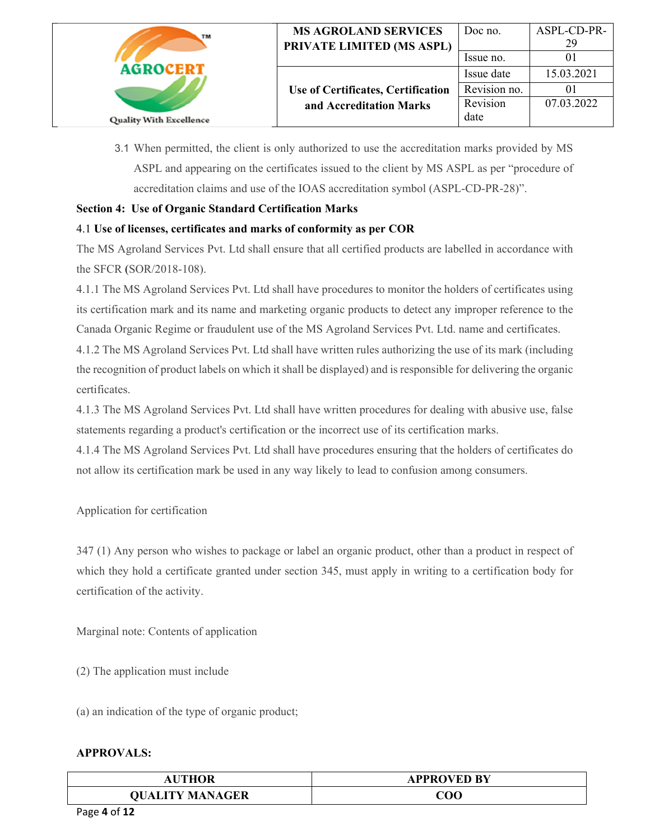| TM                             | <b>MS AGROLAND SERVICES</b><br>PRIVATE LIMITED (MS ASPL) | Doc no.<br>Issue no. | ASPL-CD-PR-<br>29 |
|--------------------------------|----------------------------------------------------------|----------------------|-------------------|
| <b>AGROCERT</b>                |                                                          | Issue date           | 15.03.2021        |
|                                | Use of Certificates, Certification                       | Revision no.         |                   |
|                                | and Accreditation Marks                                  | Revision             | 07.03.2022        |
| <b>Quality With Excellence</b> |                                                          | date                 |                   |

3.1 When permitted, the client is only authorized to use the accreditation marks provided by MS ASPL and appearing on the certificates issued to the client by MS ASPL as per "procedure of accreditation claims and use of the IOAS accreditation symbol (ASPL-CD-PR-28)".

## **Section 4: Use of Organic Standard Certification Marks**

# 4.1 **Use of licenses, certificates and marks of conformity as per COR**

The MS Agroland Services Pvt. Ltd shall ensure that all certified products are labelled in accordance with the SFCR (SOR/2018-108).

4.1.1 The MS Agroland Services Pvt. Ltd shall have procedures to monitor the holders of certificates using its certification mark and its name and marketing organic products to detect any improper reference to the Canada Organic Regime or fraudulent use of the MS Agroland Services Pvt. Ltd. name and certificates.

4.1.2 The MS Agroland Services Pvt. Ltd shall have written rules authorizing the use of its mark (including the recognition of product labels on which it shall be displayed) and is responsible for delivering the organic certificates.

4.1.3 The MS Agroland Services Pvt. Ltd shall have written procedures for dealing with abusive use, false statements regarding a product's certification or the incorrect use of its certification marks.

4.1.4 The MS Agroland Services Pvt. Ltd shall have procedures ensuring that the holders of certificates do not allow its certification mark be used in any way likely to lead to confusion among consumers.

Application for certification

347 (1) Any person who wishes to package or label an organic product, other than a product in respect of which they hold a certificate granted under section 345, must apply in writing to a certification body for certification of the activity.

Marginal note: Contents of application

(2) The application must include

(a) an indication of the type of organic product;

| <b>THOR</b>            | <b>APPROVED BY</b> |
|------------------------|--------------------|
| <b>QUALITY MANAGER</b> | COO                |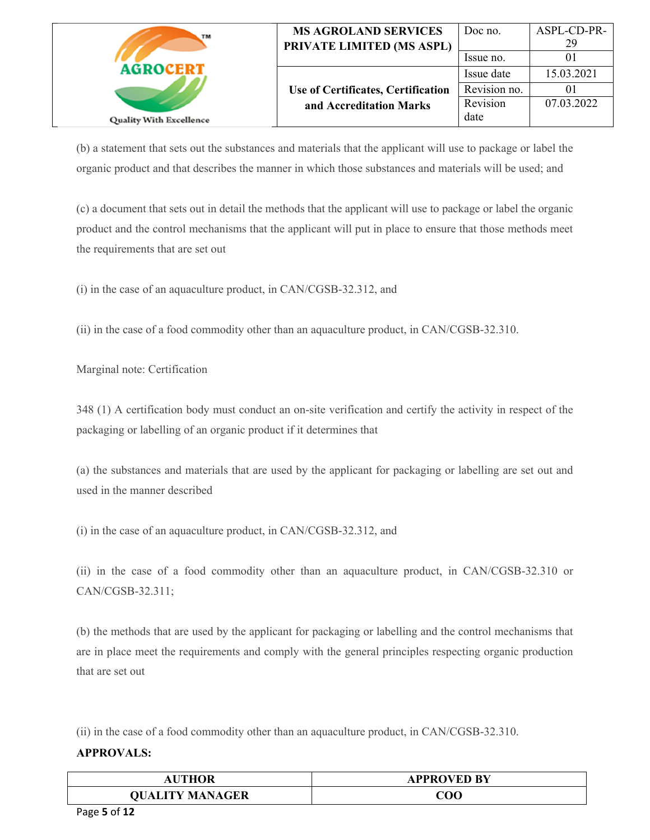| TM                             | <b>MS AGROLAND SERVICES</b><br>PRIVATE LIMITED (MS ASPL) | Doc no.      | ASPL-CD-PR-<br>29 |
|--------------------------------|----------------------------------------------------------|--------------|-------------------|
|                                |                                                          | Issue no.    |                   |
| AGROCERT                       |                                                          | Issue date   | 15.03.2021        |
|                                | Use of Certificates, Certification                       | Revision no. |                   |
|                                | and Accreditation Marks                                  | Revision     | 07.03.2022        |
| <b>Quality With Excellence</b> |                                                          | date         |                   |

(b) a statement that sets out the substances and materials that the applicant will use to package or label the organic product and that describes the manner in which those substances and materials will be used; and

(c) a document that sets out in detail the methods that the applicant will use to package or label the organic product and the control mechanisms that the applicant will put in place to ensure that those methods meet the requirements that are set out

(i) in the case of an aquaculture product, in CAN/CGSB-32.312, and

(ii) in the case of a food commodity other than an aquaculture product, in CAN/CGSB-32.310.

Marginal note: Certification

348 (1) A certification body must conduct an on-site verification and certify the activity in respect of the packaging or labelling of an organic product if it determines that

(a) the substances and materials that are used by the applicant for packaging or labelling are set out and used in the manner described

(i) in the case of an aquaculture product, in CAN/CGSB-32.312, and

(ii) in the case of a food commodity other than an aquaculture product, in CAN/CGSB-32.310 or CAN/CGSB-32.311;

(b) the methods that are used by the applicant for packaging or labelling and the control mechanisms that are in place meet the requirements and comply with the general principles respecting organic production that are set out

(ii) in the case of a food commodity other than an aquaculture product, in CAN/CGSB-32.310.

| <b>JTHOR</b><br>Aι                 | <b>APPROVED BY</b> |
|------------------------------------|--------------------|
| <b>ITY MANAGER</b><br><b>OUALI</b> | ${\rm COO}$        |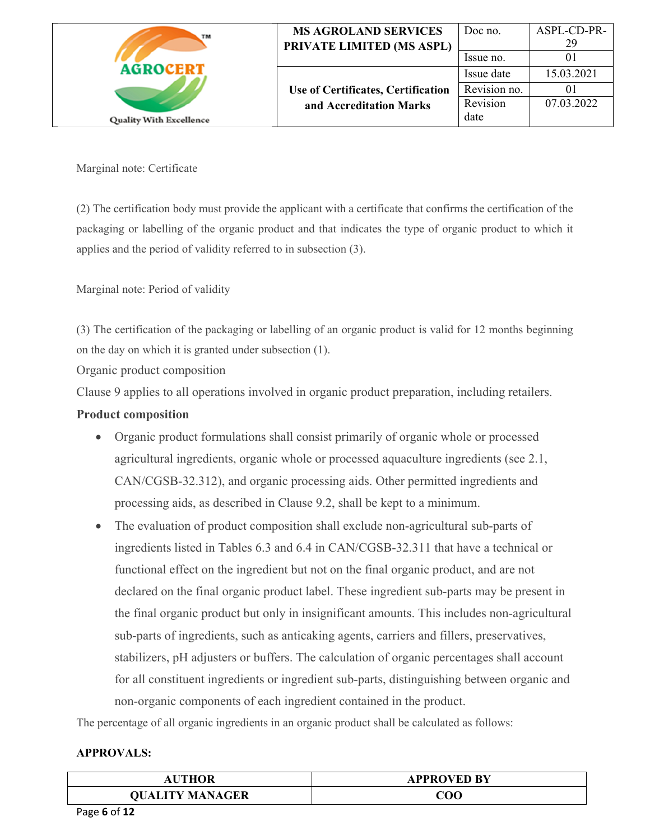| TM                             | <b>MS AGROLAND SERVICES</b><br>PRIVATE LIMITED (MS ASPL) | Doc no.<br>Issue no. | ASPL-CD-PR-<br>29 |
|--------------------------------|----------------------------------------------------------|----------------------|-------------------|
| <b>AGROCERT</b>                |                                                          | Issue date           | 15.03.2021        |
|                                | Use of Certificates, Certification                       | Revision no.         |                   |
|                                | and Accreditation Marks                                  | Revision             | 07.03.2022        |
| <b>Quality With Excellence</b> |                                                          | date                 |                   |

Marginal note: Certificate

(2) The certification body must provide the applicant with a certificate that confirms the certification of the packaging or labelling of the organic product and that indicates the type of organic product to which it applies and the period of validity referred to in subsection (3).

Marginal note: Period of validity

(3) The certification of the packaging or labelling of an organic product is valid for 12 months beginning on the day on which it is granted under subsection (1).

Organic product composition

Clause 9 applies to all operations involved in organic product preparation, including retailers.

# **Product composition**

- Organic product formulations shall consist primarily of organic whole or processed agricultural ingredients, organic whole or processed aquaculture ingredients (see 2.1, CAN/CGSB-32.312), and organic processing aids. Other permitted ingredients and processing aids, as described in Clause 9.2, shall be kept to a minimum.
- The evaluation of product composition shall exclude non-agricultural sub-parts of ingredients listed in Tables 6.3 and 6.4 in CAN/CGSB-32.311 that have a technical or functional effect on the ingredient but not on the final organic product, and are not declared on the final organic product label. These ingredient sub-parts may be present in the final organic product but only in insignificant amounts. This includes non-agricultural sub-parts of ingredients, such as anticaking agents, carriers and fillers, preservatives, stabilizers, pH adjusters or buffers. The calculation of organic percentages shall account for all constituent ingredients or ingredient sub-parts, distinguishing between organic and non-organic components of each ingredient contained in the product.

The percentage of all organic ingredients in an organic product shall be calculated as follows:

| THOR                   | <b>APPROVED BY</b> |
|------------------------|--------------------|
| <b>QUALITY MANAGER</b> | $\rm COO$          |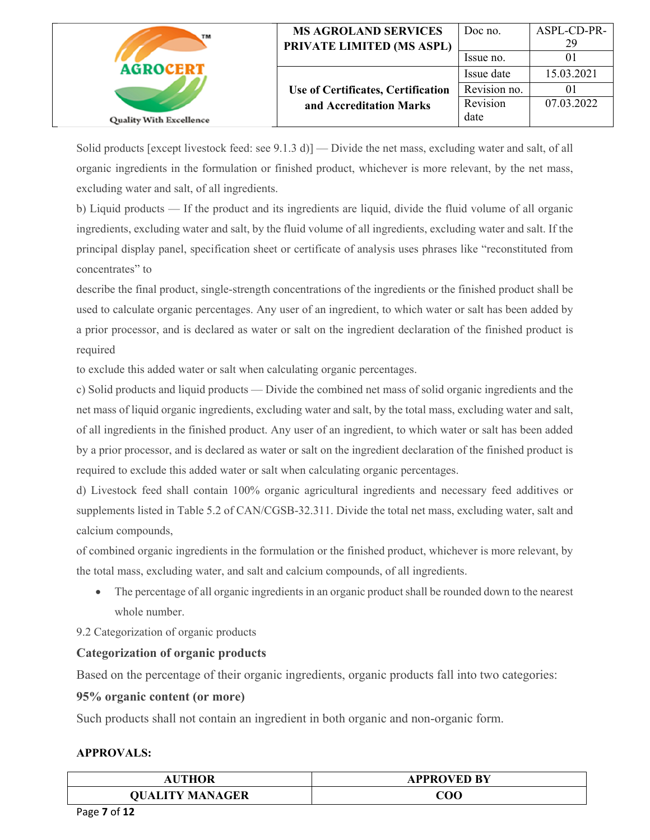| TM                             | <b>MS AGROLAND SERVICES</b><br>PRIVATE LIMITED (MS ASPL) | Doc no.<br>Issue no. | ASPL-CD-PR-<br>29 |
|--------------------------------|----------------------------------------------------------|----------------------|-------------------|
| <b>AGROCERT</b>                |                                                          | Issue date           | 15.03.2021        |
|                                | Use of Certificates, Certification                       | Revision no.         |                   |
|                                | and Accreditation Marks                                  | Revision             | 07.03.2022        |
| <b>Quality With Excellence</b> |                                                          | date                 |                   |

Solid products [except livestock feed: see 9.1.3 d)] — Divide the net mass, excluding water and salt, of all organic ingredients in the formulation or finished product, whichever is more relevant, by the net mass, excluding water and salt, of all ingredients.

b) Liquid products — If the product and its ingredients are liquid, divide the fluid volume of all organic ingredients, excluding water and salt, by the fluid volume of all ingredients, excluding water and salt. If the principal display panel, specification sheet or certificate of analysis uses phrases like "reconstituted from concentrates" to

describe the final product, single-strength concentrations of the ingredients or the finished product shall be used to calculate organic percentages. Any user of an ingredient, to which water or salt has been added by a prior processor, and is declared as water or salt on the ingredient declaration of the finished product is required

to exclude this added water or salt when calculating organic percentages.

c) Solid products and liquid products — Divide the combined net mass of solid organic ingredients and the net mass of liquid organic ingredients, excluding water and salt, by the total mass, excluding water and salt, of all ingredients in the finished product. Any user of an ingredient, to which water or salt has been added by a prior processor, and is declared as water or salt on the ingredient declaration of the finished product is required to exclude this added water or salt when calculating organic percentages.

d) Livestock feed shall contain 100% organic agricultural ingredients and necessary feed additives or supplements listed in Table 5.2 of CAN/CGSB-32.311. Divide the total net mass, excluding water, salt and calcium compounds,

of combined organic ingredients in the formulation or the finished product, whichever is more relevant, by the total mass, excluding water, and salt and calcium compounds, of all ingredients.

• The percentage of all organic ingredients in an organic product shall be rounded down to the nearest whole number.

9.2 Categorization of organic products

# **Categorization of organic products**

Based on the percentage of their organic ingredients, organic products fall into two categories:

# **95% organic content (or more)**

Such products shall not contain an ingredient in both organic and non-organic form.

| <b>AUTHOR</b>          | <b>APPROVED BY</b> |
|------------------------|--------------------|
| <b>QUALITY MANAGER</b> | $\rm COO$          |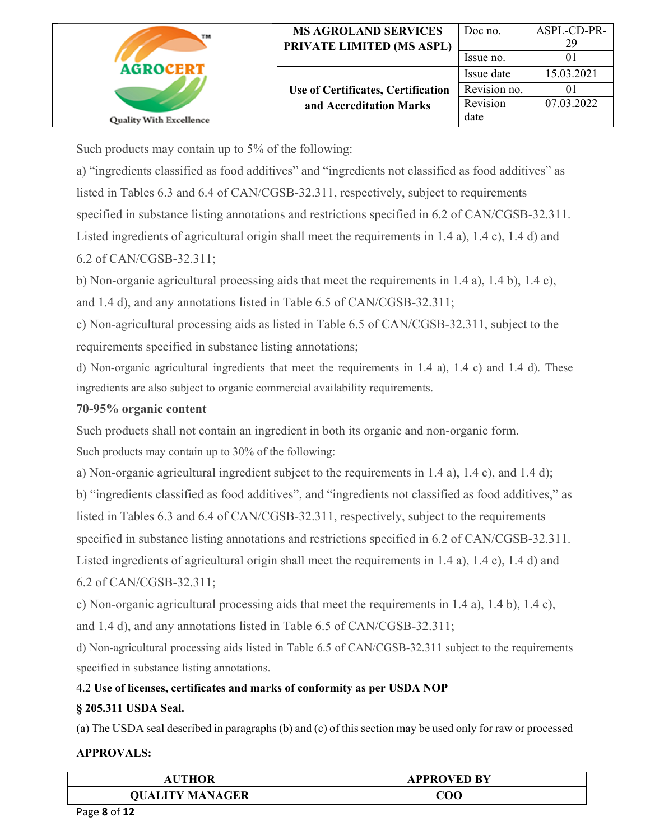| TM                             | <b>MS AGROLAND SERVICES</b><br>PRIVATE LIMITED (MS ASPL) | Doc no.<br>Issue no. | ASPL-CD-PR-<br>29 |
|--------------------------------|----------------------------------------------------------|----------------------|-------------------|
| <b>AGROCERT</b>                |                                                          | Issue date           | 15.03.2021        |
|                                | Use of Certificates, Certification                       | Revision no.         |                   |
|                                | and Accreditation Marks                                  | Revision             | 07.03.2022        |
| <b>Quality With Excellence</b> |                                                          | date                 |                   |

Such products may contain up to 5% of the following:

a) "ingredients classified as food additives" and "ingredients not classified as food additives" as listed in Tables 6.3 and 6.4 of CAN/CGSB-32.311, respectively, subject to requirements specified in substance listing annotations and restrictions specified in 6.2 of CAN/CGSB-32.311. Listed ingredients of agricultural origin shall meet the requirements in 1.4 a), 1.4 c), 1.4 d) and 6.2 of CAN/CGSB-32.311;

b) Non-organic agricultural processing aids that meet the requirements in 1.4 a), 1.4 b), 1.4 c),

and 1.4 d), and any annotations listed in Table 6.5 of CAN/CGSB-32.311;

c) Non-agricultural processing aids as listed in Table 6.5 of CAN/CGSB-32.311, subject to the requirements specified in substance listing annotations;

d) Non-organic agricultural ingredients that meet the requirements in 1.4 a), 1.4 c) and 1.4 d). These ingredients are also subject to organic commercial availability requirements.

# **70-95% organic content**

Such products shall not contain an ingredient in both its organic and non-organic form.

Such products may contain up to 30% of the following:

a) Non-organic agricultural ingredient subject to the requirements in 1.4 a), 1.4 c), and 1.4 d);

b) "ingredients classified as food additives", and "ingredients not classified as food additives," as listed in Tables 6.3 and 6.4 of CAN/CGSB-32.311, respectively, subject to the requirements specified in substance listing annotations and restrictions specified in 6.2 of CAN/CGSB-32.311. Listed ingredients of agricultural origin shall meet the requirements in 1.4 a), 1.4 c), 1.4 d) and 6.2 of CAN/CGSB-32.311;

c) Non-organic agricultural processing aids that meet the requirements in 1.4 a), 1.4 b), 1.4 c), and 1.4 d), and any annotations listed in Table 6.5 of CAN/CGSB-32.311;

d) Non-agricultural processing aids listed in Table 6.5 of CAN/CGSB-32.311 subject to the requirements specified in substance listing annotations.

# 4.2 **Use of licenses, certificates and marks of conformity as per USDA NOP**

# **§ 205.311 USDA Seal.**

(a) The USDA seal described in paragraphs (b) and (c) of this section may be used only for raw or processed

| <b>THOR</b>            | <b>APPROVED BY</b> |
|------------------------|--------------------|
| <b>QUALITY MANAGER</b> | CO0                |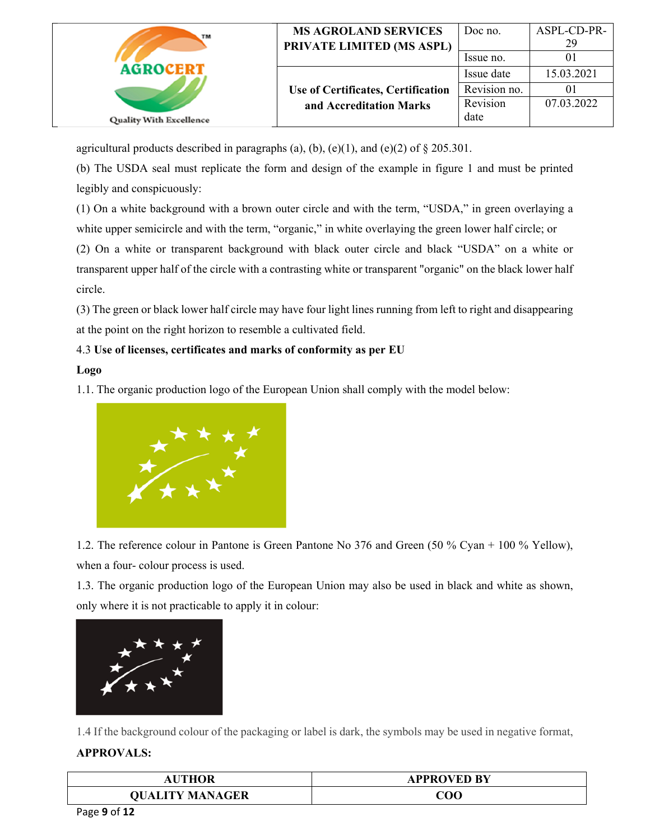| TM                             | <b>MS AGROLAND SERVICES</b><br>PRIVATE LIMITED (MS ASPL) | Doc no.<br>Issue no. | ASPL-CD-PR-<br>29 |
|--------------------------------|----------------------------------------------------------|----------------------|-------------------|
| <b>AGROCERT</b>                |                                                          | Issue date           | 15.03.2021        |
|                                | Use of Certificates, Certification                       | Revision no.         |                   |
|                                | and Accreditation Marks                                  | Revision             | 07.03.2022        |
| <b>Quality With Excellence</b> |                                                          | date                 |                   |

agricultural products described in paragraphs (a), (b), (e)(1), and (e)(2) of  $\S 205.301$ .

(b) The USDA seal must replicate the form and design of the example in figure 1 and must be printed legibly and conspicuously:

(1) On a white background with a brown outer circle and with the term, "USDA," in green overlaying a white upper semicircle and with the term, "organic," in white overlaying the green lower half circle; or

(2) On a white or transparent background with black outer circle and black "USDA" on a white or transparent upper half of the circle with a contrasting white or transparent "organic" on the black lower half circle.

(3) The green or black lower half circle may have four light lines running from left to right and disappearing at the point on the right horizon to resemble a cultivated field.

# 4.3 **Use of licenses, certificates and marks of conformity as per EU**

### **Logo**

1.1. The organic production logo of the European Union shall comply with the model below:



1.2. The reference colour in Pantone is Green Pantone No 376 and Green (50 % Cyan + 100 % Yellow), when a four- colour process is used.

1.3. The organic production logo of the European Union may also be used in black and white as shown, only where it is not practicable to apply it in colour:



1.4 If the background colour of the packaging or label is dark, the symbols may be used in negative format,

| <b>THOR</b><br>AU      | <b>APPROVED BY</b> |
|------------------------|--------------------|
| <b>QUALITY MANAGER</b> | ${\rm COO}$        |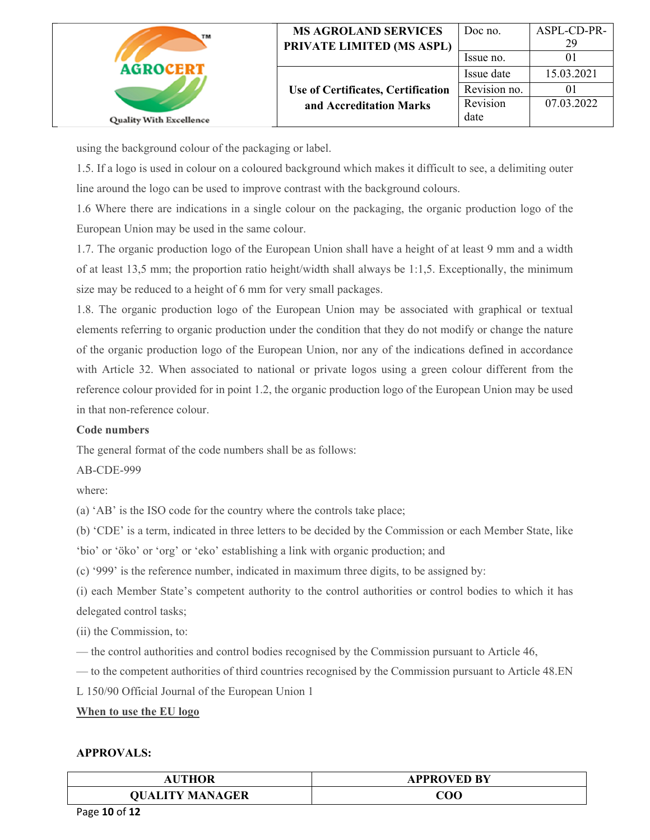| TM                             | <b>MS AGROLAND SERVICES</b><br>PRIVATE LIMITED (MS ASPL) | Doc no.<br>Issue no. | ASPL-CD-PR-<br>29 |
|--------------------------------|----------------------------------------------------------|----------------------|-------------------|
| <b>AGROCERT</b>                |                                                          | Issue date           | 15.03.2021        |
|                                | Use of Certificates, Certification                       | Revision no.         | ΟI                |
|                                | and Accreditation Marks                                  | Revision             | 07.03.2022        |
| <b>Quality With Excellence</b> |                                                          | date                 |                   |

using the background colour of the packaging or label.

1.5. If a logo is used in colour on a coloured background which makes it difficult to see, a delimiting outer line around the logo can be used to improve contrast with the background colours.

1.6 Where there are indications in a single colour on the packaging, the organic production logo of the European Union may be used in the same colour.

1.7. The organic production logo of the European Union shall have a height of at least 9 mm and a width of at least 13,5 mm; the proportion ratio height/width shall always be 1:1,5. Exceptionally, the minimum size may be reduced to a height of 6 mm for very small packages.

1.8. The organic production logo of the European Union may be associated with graphical or textual elements referring to organic production under the condition that they do not modify or change the nature of the organic production logo of the European Union, nor any of the indications defined in accordance with Article 32. When associated to national or private logos using a green colour different from the reference colour provided for in point 1.2, the organic production logo of the European Union may be used in that non-reference colour.

## **Code numbers**

The general format of the code numbers shall be as follows:

AB-CDE-999

where:

(a) 'AB' is the ISO code for the country where the controls take place;

(b) 'CDE' is a term, indicated in three letters to be decided by the Commission or each Member State, like

'bio' or 'öko' or 'org' or 'eko' establishing a link with organic production; and

(c) '999' is the reference number, indicated in maximum three digits, to be assigned by:

(i) each Member State's competent authority to the control authorities or control bodies to which it has delegated control tasks;

(ii) the Commission, to:

— the control authorities and control bodies recognised by the Commission pursuant to Article 46,

— to the competent authorities of third countries recognised by the Commission pursuant to Article 48.EN

L 150/90 Official Journal of the European Union 1

### **When to use the EU logo**

| <b>THOR</b>            | <b>APPROVED BY</b> |
|------------------------|--------------------|
| <b>QUALITY MANAGER</b> | ${\rm COO}$        |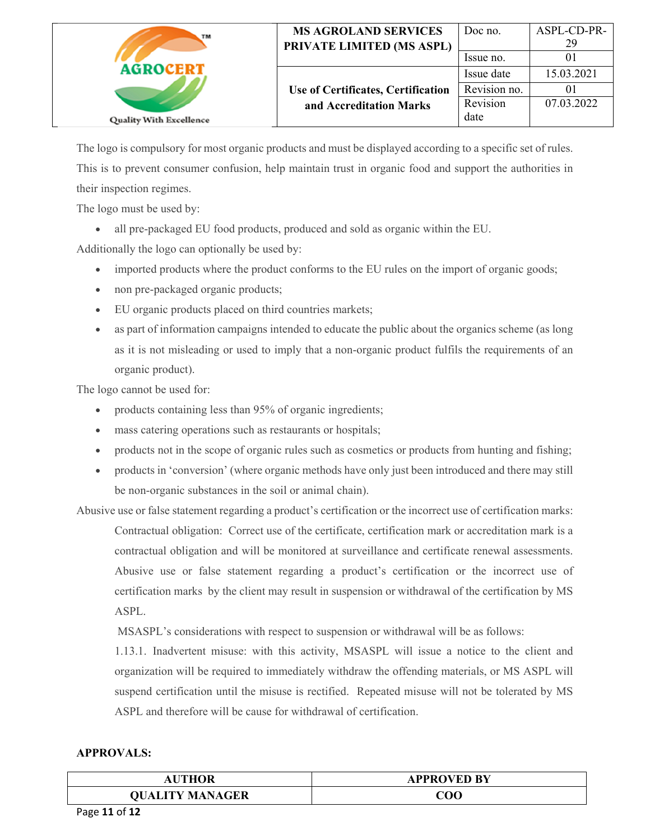| TM                             | <b>MS AGROLAND SERVICES</b><br>PRIVATE LIMITED (MS ASPL) | Doc no.<br>Issue no. | ASPL-CD-PR-<br>29 |
|--------------------------------|----------------------------------------------------------|----------------------|-------------------|
| <b>AGROCERT</b>                |                                                          | Issue date           | 15.03.2021        |
|                                | Use of Certificates, Certification                       | Revision no.         |                   |
|                                | and Accreditation Marks                                  | Revision             | 07.03.2022        |
| <b>Quality With Excellence</b> |                                                          | date                 |                   |

The logo is compulsory for most organic products and must be displayed according to a specific set of rules. This is to prevent consumer confusion, help maintain trust in organic food and support the authorities in their inspection regimes.

The logo must be used by:

all pre-packaged EU food products, produced and sold as organic within the EU.

Additionally the logo can optionally be used by:

- imported products where the product conforms to the EU rules on the import of organic goods;
- non pre-packaged organic products;
- EU organic products placed on third countries markets;
- as part of information campaigns intended to educate the public about the organics scheme (as long as it is not misleading or used to imply that a non-organic product fulfils the requirements of an organic product).

The logo cannot be used for:

- products containing less than 95% of organic ingredients;
- mass catering operations such as restaurants or hospitals;
- products not in the scope of organic rules such as cosmetics or products from hunting and fishing;
- products in 'conversion' (where organic methods have only just been introduced and there may still be non-organic substances in the soil or animal chain).

Abusive use or false statement regarding a product's certification or the incorrect use of certification marks: Contractual obligation: Correct use of the certificate, certification mark or accreditation mark is a contractual obligation and will be monitored at surveillance and certificate renewal assessments. Abusive use or false statement regarding a product's certification or the incorrect use of certification marks by the client may result in suspension or withdrawal of the certification by MS ASPL.

MSASPL's considerations with respect to suspension or withdrawal will be as follows:

1.13.1. Inadvertent misuse: with this activity, MSASPL will issue a notice to the client and organization will be required to immediately withdraw the offending materials, or MS ASPL will suspend certification until the misuse is rectified. Repeated misuse will not be tolerated by MS ASPL and therefore will be cause for withdrawal of certification.

| UTHOR<br>AU            | <b>APPROVED BY</b> |
|------------------------|--------------------|
| <b>QUALITY MANAGER</b> | ${\rm COO}$        |